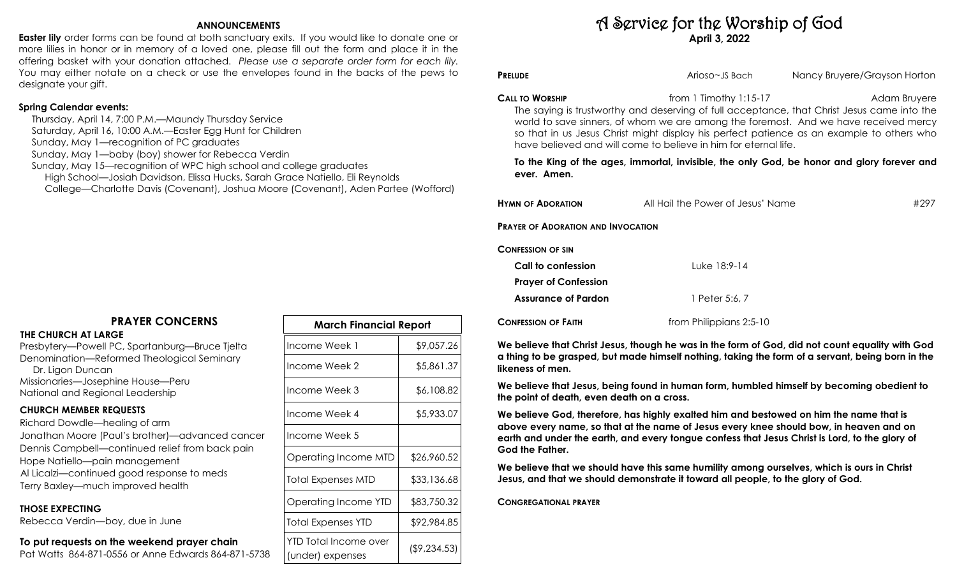### **ANNOUNCEMENTS**

**Easter lily** order forms can be found at both sanctuary exits. If you would like to donate one or more lilies in honor or in memory of a loved one, please fill out the form and place it in the offering basket with your donation attached. *Please use a separate order form for each lily.*  You may either notate on a check or use the envelopes found in the backs of the pews to designate your gift.

## **Spring Calendar events:**

 Thursday, April 14, 7:00 P.M.—Maundy Thursday Service Saturday, April 16, 10:00 A.M.—Easter Egg Hunt for Children Sunday, May 1—recognition of PC graduates Sunday, May 1—baby (boy) shower for Rebecca Verdin Sunday, May 15—recognition of WPC high school and college graduates High School—Josiah Davidson, Elissa Hucks, Sarah Grace Natiello, Eli Reynolds College—Charlotte Davis (Covenant), Joshua Moore (Covenant), Aden Partee (Wofford)

# **PRAYER CONCERNS**

#### **THE CHURCH AT LARGE**

Presbytery—Powell PC, Spartanburg—Bruce Tjelta Denomination—Reformed Theological Seminary Dr. Ligon Duncan Missionaries—Josephine House—Peru National and Regional Leadership

#### **CHURCH MEMBER REQUESTS**

Richard Dowdle—healing of arm Jonathan Moore (Paul's brother)—advanced cancer Dennis Campbell—continued relief from back pain Hope Natiello—pain management Al Licalzi—continued good response to meds Terry Baxley—much improved health

#### **THOSE EXPECTING**

Rebecca Verdin—boy, due in June

### **To put requests on the weekend prayer chain**

Pat Watts 864-871-0556 or Anne Edwards 864-871-5738

| <b>March Financial Report</b>             |              |  |  |
|-------------------------------------------|--------------|--|--|
| Income Week 1                             | \$9,057.26   |  |  |
| Income Week 2                             | \$5,861.37   |  |  |
| Income Week 3                             | \$6,108.82   |  |  |
| Income Week 4                             | \$5,933.07   |  |  |
| Income Week 5                             |              |  |  |
| Operating Income MTD                      | \$26,960.52  |  |  |
| Total Expenses MTD                        | \$33,136.68  |  |  |
| Operating Income YTD                      | \$83,750.32  |  |  |
| Total Expenses YTD                        | \$92,984.85  |  |  |
| YTD Total Income over<br>(under) expenses | (\$9,234.53) |  |  |

# A Service for the Worship of God **April 3, 2022**

**PRELUDE PRELUDE Arioso~JS Bach** Mancy Bruyere/Grayson Horton

**CALL TO WORSHIP CALL TO WORSHIP** *CALL TO WORSHIP CALL TO WORSHIP COLL TO SET ADD <i>COLL TO SET ADD <i>COLL TO SET ADD COLL TO SET ADD COLL TO SET ADD <i>COLL TO SET ADD COLL TO SET ADD COLL TO* 

The saying is trustworthy and deserving of full acceptance, that Christ Jesus came into the world to save sinners, of whom we are among the foremost. And we have received mercy so that in us Jesus Christ might display his perfect patience as an example to others who have believed and will come to believe in him for eternal life.

#### **To the King of the ages, immortal, invisible, the only God, be honor and glory forever and ever. Amen.**

| <b>HYMN OF ADORATION</b>                  | All Hail the Power of Jesus' Name | #297 |
|-------------------------------------------|-----------------------------------|------|
| <b>PRAYER OF ADORATION AND INVOCATION</b> |                                   |      |
| <b>CONFESSION OF SIN</b>                  |                                   |      |
| Call to confession                        | Luke 18:9-14                      |      |
| <b>Prayer of Confession</b>               |                                   |      |
| <b>Assurance of Pardon</b>                | 1 Peter 5:6, 7                    |      |
|                                           |                                   |      |

**CONFESSION OF FAITH** from Philippians 2:5-10

**We believe that Christ Jesus, though he was in the form of God, did not count equality with God a thing to be grasped, but made himself nothing, taking the form of a servant, being born in the likeness of men.** 

**We believe that Jesus, being found in human form, humbled himself by becoming obedient to the point of death, even death on a cross.** 

**We believe God, therefore, has highly exalted him and bestowed on him the name that is above every name, so that at the name of Jesus every knee should bow, in heaven and on earth and under the earth, and every tongue confess that Jesus Christ is Lord, to the glory of God the Father.**

**We believe that we should have this same humility among ourselves, which is ours in Christ Jesus, and that we should demonstrate it toward all people, to the glory of God.**

**CONGREGATIONAL PRAYER**